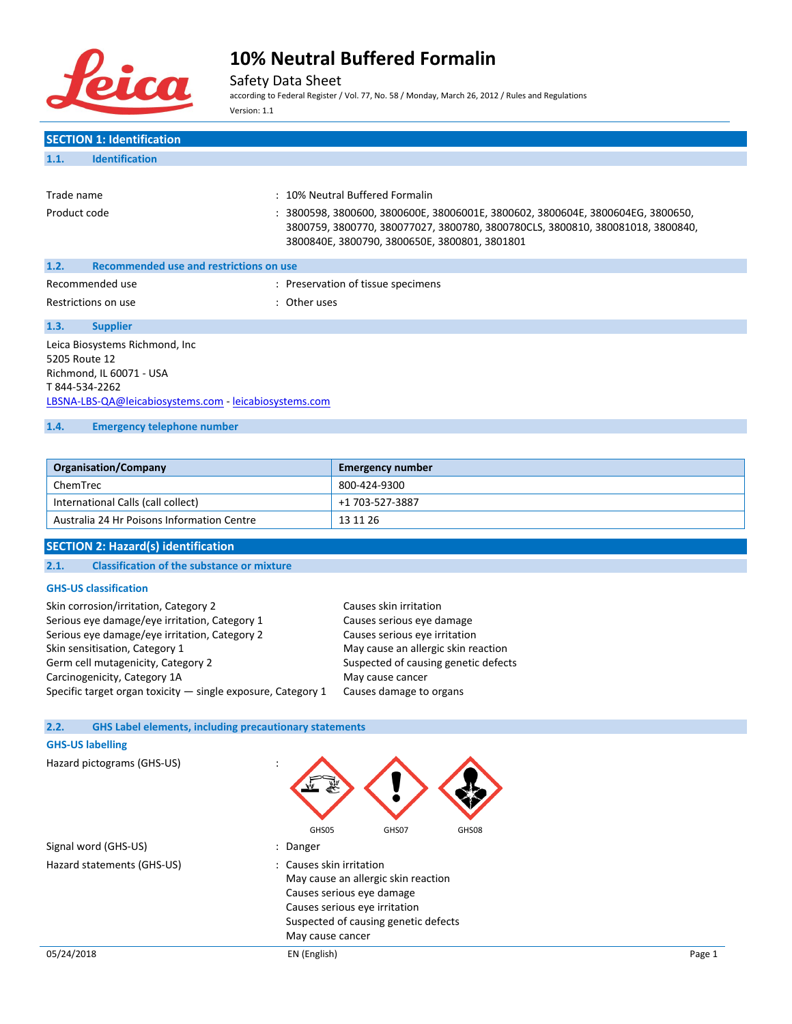

## Safety Data Sheet

according to Federal Register / Vol. 77, No. 58 / Monday, March 26, 2012 / Rules and Regulations Version: 1.1

### **SECTION 1: Identification 1.1. Identification**

| Trade name                                      |  |  | : 10% Neutral Buffered Formalin                                                                                                                                                                                    |  |
|-------------------------------------------------|--|--|--------------------------------------------------------------------------------------------------------------------------------------------------------------------------------------------------------------------|--|
| Product code                                    |  |  | : 3800598, 3800600, 3800600E, 38006001E, 3800602, 3800604E, 3800604EG, 3800650,<br>3800759, 3800770, 380077027, 3800780, 3800780CLS, 3800810, 380081018, 3800840,<br>3800840E, 3800790, 3800650E, 3800801, 3801801 |  |
| 1.2.<br>Recommended use and restrictions on use |  |  |                                                                                                                                                                                                                    |  |
| Recommended use                                 |  |  | : Preservation of tissue specimens                                                                                                                                                                                 |  |

Restrictions on use in the set of the set of the set of the set of the set of the set of the set of the set of the set of the set of the set of the set of the set of the set of the set of the set of the set of the set of t

**1.3. Supplier** Leica Biosystems Richmond, Inc 5205 Route 12 Richmond, IL 60071 - USA T 844-534-2262 [LBSNA-LBS-QA@leicabiosystems.com](mailto:LBSNA-LBS-QA@leicabiosystems.com) - <leicabiosystems.com>

### **1.4. Emergency telephone number**

| <b>Organisation/Company</b>                | <b>Emergency number</b> |
|--------------------------------------------|-------------------------|
| ChemTrec                                   | 800-424-9300            |
| International Calls (call collect)         | +1 703-527-3887         |
| Australia 24 Hr Poisons Information Centre | 13 11 26                |

### **SECTION 2: Hazard(s) identification**

### **2.1. Classification of the substance or mixture**

#### **GHS-US classification**

| Skin corrosion/irritation, Category 2                          | Causes skin irritation               |
|----------------------------------------------------------------|--------------------------------------|
| Serious eye damage/eye irritation, Category 1                  | Causes serious eye damage            |
| Serious eye damage/eye irritation, Category 2                  | Causes serious eye irritation        |
| Skin sensitisation, Category 1                                 | May cause an allergic skin reaction  |
| Germ cell mutagenicity, Category 2                             | Suspected of causing genetic defects |
| Carcinogenicity, Category 1A                                   | May cause cancer                     |
| Specific target organ toxicity $-$ single exposure, Category 1 | Causes damage to organs              |

#### **2.2. GHS Label elements, including precautionary statements**

# 05/24/2018 EN (English) Page 1 **GHS-US labelling** Hazard pictograms (GHS-US) : GHS05 GHS07 GHS08 Signal word (GHS-US) **in the same of the Signal word** (GHS-US) Hazard statements (GHS-US) : Causes skin irritation May cause an allergic skin reaction Causes serious eye damage Causes serious eye irritation Suspected of causing genetic defects May cause cancer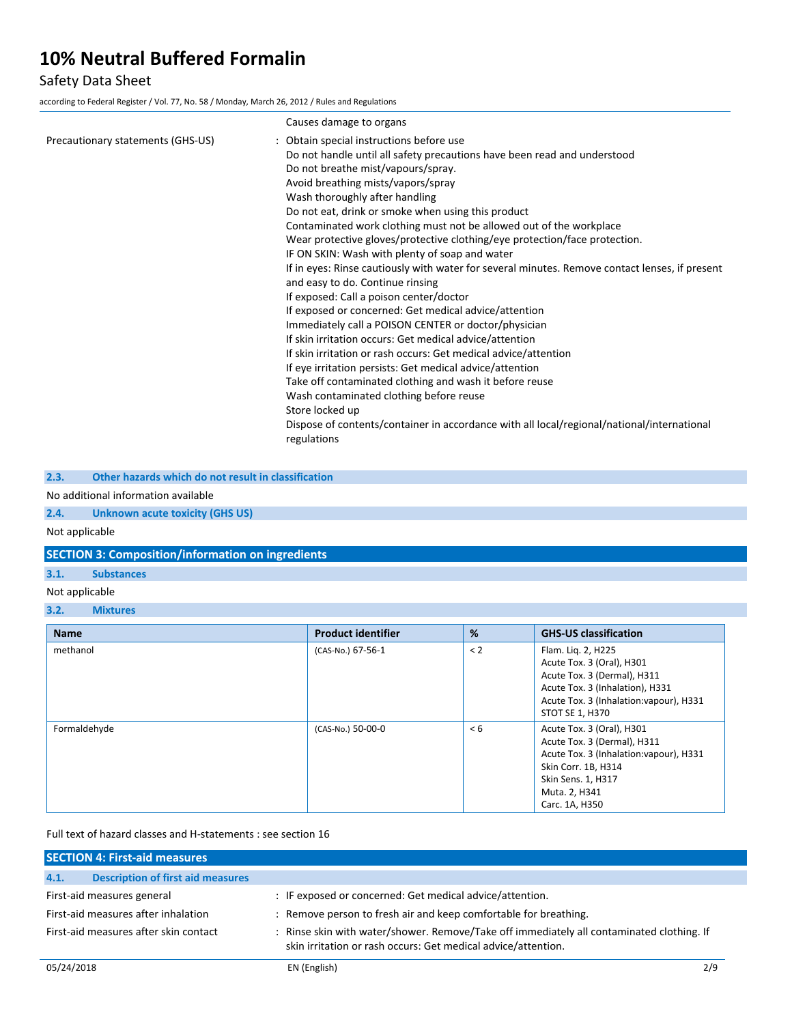## Safety Data Sheet

according to Federal Register / Vol. 77, No. 58 / Monday, March 26, 2012 / Rules and Regulations

|                                   | Causes damage to organs                                                                                                                                                                                                                                                                                                                                                                                                                                                                                                                                                                                                                                                                                                                                                                                                                                                                                                                                                                                                                                                                                                                                                                                                           |
|-----------------------------------|-----------------------------------------------------------------------------------------------------------------------------------------------------------------------------------------------------------------------------------------------------------------------------------------------------------------------------------------------------------------------------------------------------------------------------------------------------------------------------------------------------------------------------------------------------------------------------------------------------------------------------------------------------------------------------------------------------------------------------------------------------------------------------------------------------------------------------------------------------------------------------------------------------------------------------------------------------------------------------------------------------------------------------------------------------------------------------------------------------------------------------------------------------------------------------------------------------------------------------------|
| Precautionary statements (GHS-US) | : Obtain special instructions before use<br>Do not handle until all safety precautions have been read and understood<br>Do not breathe mist/vapours/spray.<br>Avoid breathing mists/vapors/spray<br>Wash thoroughly after handling<br>Do not eat, drink or smoke when using this product<br>Contaminated work clothing must not be allowed out of the workplace<br>Wear protective gloves/protective clothing/eye protection/face protection.<br>IF ON SKIN: Wash with plenty of soap and water<br>If in eyes: Rinse cautiously with water for several minutes. Remove contact lenses, if present<br>and easy to do. Continue rinsing<br>If exposed: Call a poison center/doctor<br>If exposed or concerned: Get medical advice/attention<br>Immediately call a POISON CENTER or doctor/physician<br>If skin irritation occurs: Get medical advice/attention<br>If skin irritation or rash occurs: Get medical advice/attention<br>If eye irritation persists: Get medical advice/attention<br>Take off contaminated clothing and wash it before reuse<br>Wash contaminated clothing before reuse<br>Store locked up<br>Dispose of contents/container in accordance with all local/regional/national/international<br>regulations |
|                                   |                                                                                                                                                                                                                                                                                                                                                                                                                                                                                                                                                                                                                                                                                                                                                                                                                                                                                                                                                                                                                                                                                                                                                                                                                                   |

**2.3. Other hazards which do not result in classification**

### No additional information available

**2.4. Unknown acute toxicity (GHS US)**

Not applicable

**SECTION 3: Composition/information on ingredients**

### **3.1. Substances**

- Not applicable
- **3.2. Mixtures**

| <b>Name</b>  | <b>Product identifier</b> | %       | <b>GHS-US classification</b>                                                                                                                                                        |
|--------------|---------------------------|---------|-------------------------------------------------------------------------------------------------------------------------------------------------------------------------------------|
| methanol     | (CAS-No.) 67-56-1         | $\lt 2$ | Flam. Lig. 2, H225<br>Acute Tox. 3 (Oral), H301<br>Acute Tox. 3 (Dermal), H311<br>Acute Tox. 3 (Inhalation), H331<br>Acute Tox. 3 (Inhalation: vapour), H331<br>STOT SE 1, H370     |
| Formaldehyde | (CAS-No.) 50-00-0         | < 6     | Acute Tox. 3 (Oral), H301<br>Acute Tox. 3 (Dermal), H311<br>Acute Tox. 3 (Inhalation: vapour), H331<br>Skin Corr. 1B, H314<br>Skin Sens. 1, H317<br>Muta. 2, H341<br>Carc. 1A, H350 |

### Full text of hazard classes and H-statements : see section 16

|                                       | <b>SECTION 4: First-aid measures</b>     |                                                                                                                                                            |  |  |  |
|---------------------------------------|------------------------------------------|------------------------------------------------------------------------------------------------------------------------------------------------------------|--|--|--|
| 4.1.                                  | <b>Description of first aid measures</b> |                                                                                                                                                            |  |  |  |
| First-aid measures general            |                                          | : IF exposed or concerned: Get medical advice/attention.                                                                                                   |  |  |  |
| First-aid measures after inhalation   |                                          | : Remove person to fresh air and keep comfortable for breathing.                                                                                           |  |  |  |
| First-aid measures after skin contact |                                          | : Rinse skin with water/shower. Remove/Take off immediately all contaminated clothing. If<br>skin irritation or rash occurs: Get medical advice/attention. |  |  |  |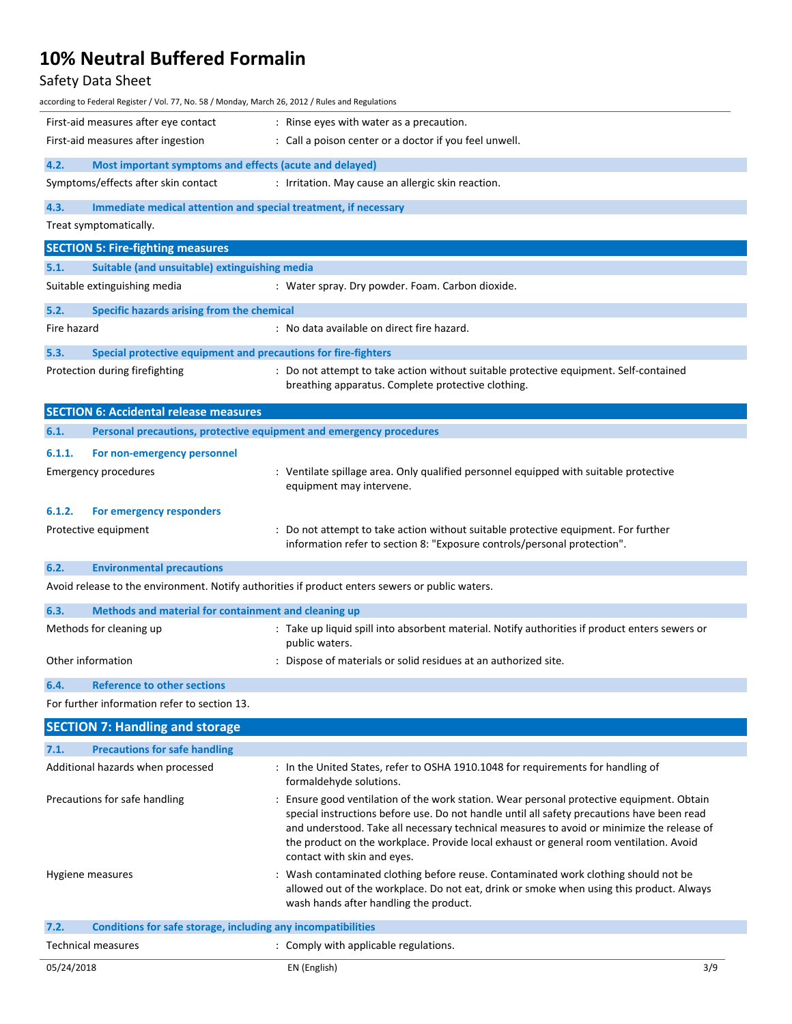# Safety Data Sheet

| according to Federal Register / Vol. 77, No. 58 / Monday, March 26, 2012 / Rules and Regulations |                                                                                                                                                                                     |  |  |
|--------------------------------------------------------------------------------------------------|-------------------------------------------------------------------------------------------------------------------------------------------------------------------------------------|--|--|
| First-aid measures after eye contact<br>: Rinse eyes with water as a precaution.                 |                                                                                                                                                                                     |  |  |
| First-aid measures after ingestion                                                               | : Call a poison center or a doctor if you feel unwell.                                                                                                                              |  |  |
| 4.2.<br>Most important symptoms and effects (acute and delayed)                                  |                                                                                                                                                                                     |  |  |
| Symptoms/effects after skin contact                                                              | : Irritation. May cause an allergic skin reaction.                                                                                                                                  |  |  |
| 4.3.<br>Immediate medical attention and special treatment, if necessary                          |                                                                                                                                                                                     |  |  |
| Treat symptomatically.                                                                           |                                                                                                                                                                                     |  |  |
| <b>SECTION 5: Fire-fighting measures</b>                                                         |                                                                                                                                                                                     |  |  |
| 5.1.<br>Suitable (and unsuitable) extinguishing media                                            |                                                                                                                                                                                     |  |  |
| Suitable extinguishing media                                                                     | : Water spray. Dry powder. Foam. Carbon dioxide.                                                                                                                                    |  |  |
| 5.2.<br>Specific hazards arising from the chemical                                               |                                                                                                                                                                                     |  |  |
| Fire hazard                                                                                      | : No data available on direct fire hazard.                                                                                                                                          |  |  |
| 5.3.<br>Special protective equipment and precautions for fire-fighters                           |                                                                                                                                                                                     |  |  |
| Protection during firefighting                                                                   | : Do not attempt to take action without suitable protective equipment. Self-contained<br>breathing apparatus. Complete protective clothing.                                         |  |  |
| <b>SECTION 6: Accidental release measures</b>                                                    |                                                                                                                                                                                     |  |  |
| 6.1.<br>Personal precautions, protective equipment and emergency procedures                      |                                                                                                                                                                                     |  |  |
| 6.1.1.<br>For non-emergency personnel                                                            |                                                                                                                                                                                     |  |  |
| <b>Emergency procedures</b>                                                                      | : Ventilate spillage area. Only qualified personnel equipped with suitable protective                                                                                               |  |  |
|                                                                                                  | equipment may intervene.                                                                                                                                                            |  |  |
| 6.1.2.<br>For emergency responders                                                               |                                                                                                                                                                                     |  |  |
| Protective equipment                                                                             | : Do not attempt to take action without suitable protective equipment. For further                                                                                                  |  |  |
|                                                                                                  | information refer to section 8: "Exposure controls/personal protection".                                                                                                            |  |  |
| 6.2.<br><b>Environmental precautions</b>                                                         |                                                                                                                                                                                     |  |  |
| Avoid release to the environment. Notify authorities if product enters sewers or public waters.  |                                                                                                                                                                                     |  |  |
| 6.3.<br>Methods and material for containment and cleaning up                                     |                                                                                                                                                                                     |  |  |
| Methods for cleaning up                                                                          | : Take up liquid spill into absorbent material. Notify authorities if product enters sewers or<br>public waters.                                                                    |  |  |
| Other information                                                                                | : Dispose of materials or solid residues at an authorized site.                                                                                                                     |  |  |
| <b>Reference to other sections</b><br>6.4.                                                       |                                                                                                                                                                                     |  |  |
| For further information refer to section 13.                                                     |                                                                                                                                                                                     |  |  |
| <b>SECTION 7: Handling and storage</b>                                                           |                                                                                                                                                                                     |  |  |
| 7.1.<br><b>Precautions for safe handling</b>                                                     |                                                                                                                                                                                     |  |  |
| Additional hazards when processed                                                                | : In the United States, refer to OSHA 1910.1048 for requirements for handling of<br>formaldehyde solutions.                                                                         |  |  |
| Precautions for safe handling                                                                    | : Ensure good ventilation of the work station. Wear personal protective equipment. Obtain                                                                                           |  |  |
|                                                                                                  | special instructions before use. Do not handle until all safety precautions have been read                                                                                          |  |  |
|                                                                                                  | and understood. Take all necessary technical measures to avoid or minimize the release of<br>the product on the workplace. Provide local exhaust or general room ventilation. Avoid |  |  |
|                                                                                                  | contact with skin and eyes.                                                                                                                                                         |  |  |
| Hygiene measures                                                                                 | : Wash contaminated clothing before reuse. Contaminated work clothing should not be                                                                                                 |  |  |
|                                                                                                  | allowed out of the workplace. Do not eat, drink or smoke when using this product. Always<br>wash hands after handling the product.                                                  |  |  |
| Conditions for safe storage, including any incompatibilities<br>7.2.                             |                                                                                                                                                                                     |  |  |
| <b>Technical measures</b>                                                                        | : Comply with applicable regulations.                                                                                                                                               |  |  |
| 05/24/2018                                                                                       | EN (English)<br>3/9                                                                                                                                                                 |  |  |
|                                                                                                  |                                                                                                                                                                                     |  |  |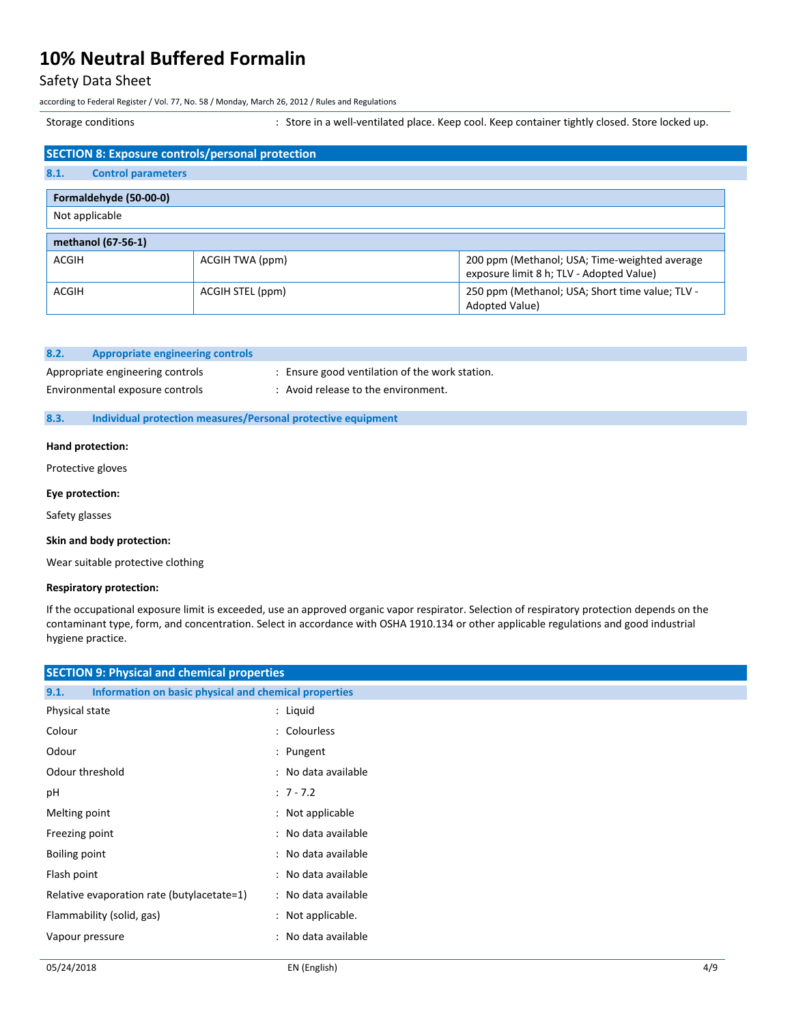### Safety Data Sheet

according to Federal Register / Vol. 77, No. 58 / Monday, March 26, 2012 / Rules and Regulations

Storage conditions **Storage conditions** : Store in a well-ventilated place. Keep cool. Keep container tightly closed. Store locked up.

| <b>SECTION 8: Exposure controls/personal protection</b> |                  |                                                                                           |
|---------------------------------------------------------|------------------|-------------------------------------------------------------------------------------------|
| 8.1.<br><b>Control parameters</b>                       |                  |                                                                                           |
| Formaldehyde (50-00-0)                                  |                  |                                                                                           |
| Not applicable                                          |                  |                                                                                           |
| methanol (67-56-1)                                      |                  |                                                                                           |
| <b>ACGIH</b>                                            | ACGIH TWA (ppm)  | 200 ppm (Methanol; USA; Time-weighted average<br>exposure limit 8 h; TLV - Adopted Value) |
| <b>ACGIH</b>                                            | ACGIH STEL (ppm) | 250 ppm (Methanol; USA; Short time value; TLV -<br>Adopted Value)                         |

| 8.2. | Appropriate engineering controls |                                                |
|------|----------------------------------|------------------------------------------------|
|      | Appropriate engineering controls | : Ensure good ventilation of the work station. |

- 
- Environmental exposure controls : Avoid release to the environment.

### **8.3. Individual protection measures/Personal protective equipment**

### **Hand protection:**

Protective gloves

#### **Eye protection:**

Safety glasses

#### **Skin and body protection:**

Wear suitable protective clothing

### **Respiratory protection:**

If the occupational exposure limit is exceeded, use an approved organic vapor respirator. Selection of respiratory protection depends on the contaminant type, form, and concentration. Select in accordance with OSHA 1910.134 or other applicable regulations and good industrial hygiene practice.

| <b>SECTION 9: Physical and chemical properties</b>            |                     |  |  |
|---------------------------------------------------------------|---------------------|--|--|
| Information on basic physical and chemical properties<br>9.1. |                     |  |  |
| Physical state                                                | : Liquid            |  |  |
| Colour                                                        | : Colourless        |  |  |
| Odour                                                         | : Pungent           |  |  |
| Odour threshold                                               | : No data available |  |  |
| рH                                                            | $: 7 - 7.2$         |  |  |
| Melting point                                                 | : Not applicable    |  |  |
| Freezing point                                                | : No data available |  |  |
| Boiling point                                                 | : No data available |  |  |
| Flash point                                                   | : No data available |  |  |
| Relative evaporation rate (butylacetate=1)                    | : No data available |  |  |
| Flammability (solid, gas)                                     | : Not applicable.   |  |  |
| Vapour pressure                                               | : No data available |  |  |
|                                                               |                     |  |  |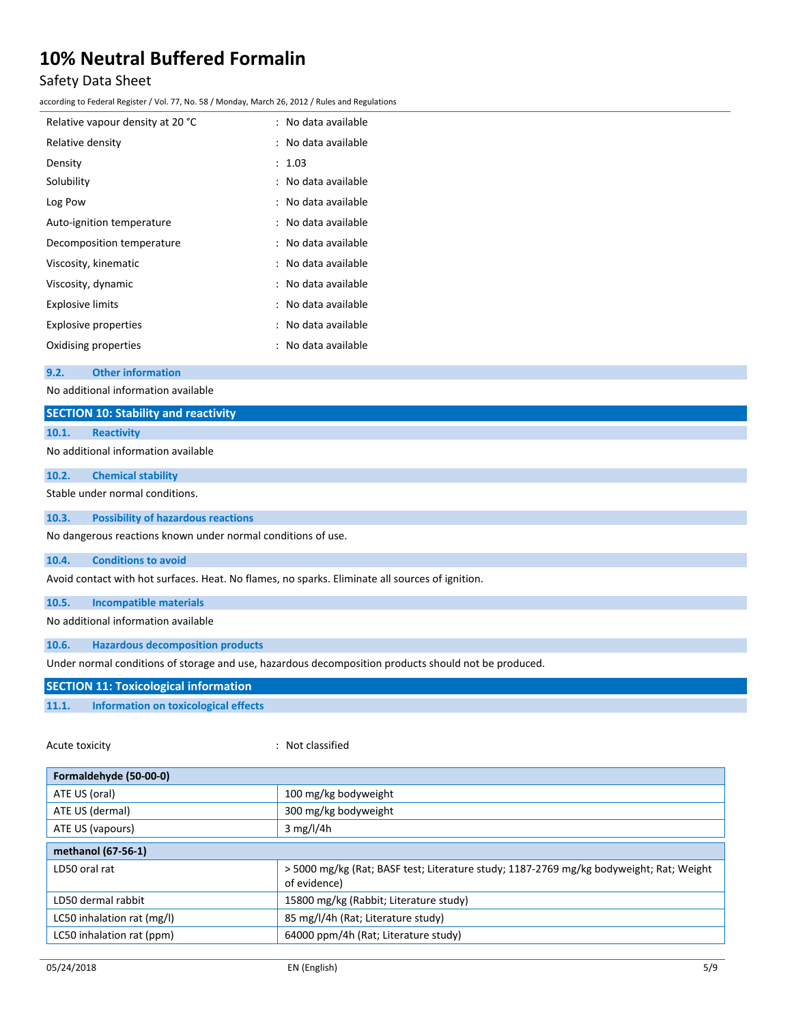## Safety Data Sheet

according to Federal Register / Vol. 77, No. 58 / Monday, March 26, 2012 / Rules and Regulations

| Relative vapour density at 20 °C | : No data available |
|----------------------------------|---------------------|
| Relative density                 | : No data available |
| Density                          | : 1.03              |
| Solubility                       | : No data available |
| Log Pow                          | : No data available |
| Auto-ignition temperature        | : No data available |
| Decomposition temperature        | : No data available |
| Viscosity, kinematic             | : No data available |
| Viscosity, dynamic               | : No data available |
| <b>Explosive limits</b>          | : No data available |
| <b>Explosive properties</b>      | : No data available |
| Oxidising properties             | : No data available |

#### **9.2. Other information**

No additional information available

| <u>NU auunnal illiulilation avaliable</u>                                                            |                                                                                                 |  |  |
|------------------------------------------------------------------------------------------------------|-------------------------------------------------------------------------------------------------|--|--|
|                                                                                                      | <b>SECTION 10: Stability and reactivity</b>                                                     |  |  |
| 10.1.                                                                                                | <b>Reactivity</b>                                                                               |  |  |
|                                                                                                      | No additional information available                                                             |  |  |
| 10.2.                                                                                                | <b>Chemical stability</b>                                                                       |  |  |
|                                                                                                      | Stable under normal conditions.                                                                 |  |  |
| 10.3.                                                                                                | <b>Possibility of hazardous reactions</b>                                                       |  |  |
|                                                                                                      | No dangerous reactions known under normal conditions of use.                                    |  |  |
| 10.4.                                                                                                | <b>Conditions to avoid</b>                                                                      |  |  |
|                                                                                                      | Avoid contact with hot surfaces. Heat. No flames, no sparks. Eliminate all sources of ignition. |  |  |
| 10.5.                                                                                                | <b>Incompatible materials</b>                                                                   |  |  |
|                                                                                                      | No additional information available                                                             |  |  |
| 10.6.                                                                                                | <b>Hazardous decomposition products</b>                                                         |  |  |
| Under normal conditions of storage and use, hazardous decomposition products should not be produced. |                                                                                                 |  |  |
| <b>SECTION 11: Toxicological information</b>                                                         |                                                                                                 |  |  |
| 11.1.                                                                                                | <b>Information on toxicological effects</b>                                                     |  |  |
| Acute toxicity                                                                                       | : Not classified                                                                                |  |  |
|                                                                                                      | Formaldehyde (50-00-0)                                                                          |  |  |

| Formaldenyde (50-00-0)     |                                                                                                         |  |
|----------------------------|---------------------------------------------------------------------------------------------------------|--|
| ATE US (oral)              | 100 mg/kg bodyweight                                                                                    |  |
| ATE US (dermal)            | 300 mg/kg bodyweight                                                                                    |  |
| ATE US (vapours)           | $3$ mg/l/4h                                                                                             |  |
| methanol (67-56-1)         |                                                                                                         |  |
| LD50 oral rat              | > 5000 mg/kg (Rat; BASF test; Literature study; 1187-2769 mg/kg bodyweight; Rat; Weight<br>of evidence) |  |
| LD50 dermal rabbit         | 15800 mg/kg (Rabbit; Literature study)                                                                  |  |
| LC50 inhalation rat (mg/l) | 85 mg/l/4h (Rat; Literature study)                                                                      |  |
| LC50 inhalation rat (ppm)  | 64000 ppm/4h (Rat; Literature study)                                                                    |  |
|                            |                                                                                                         |  |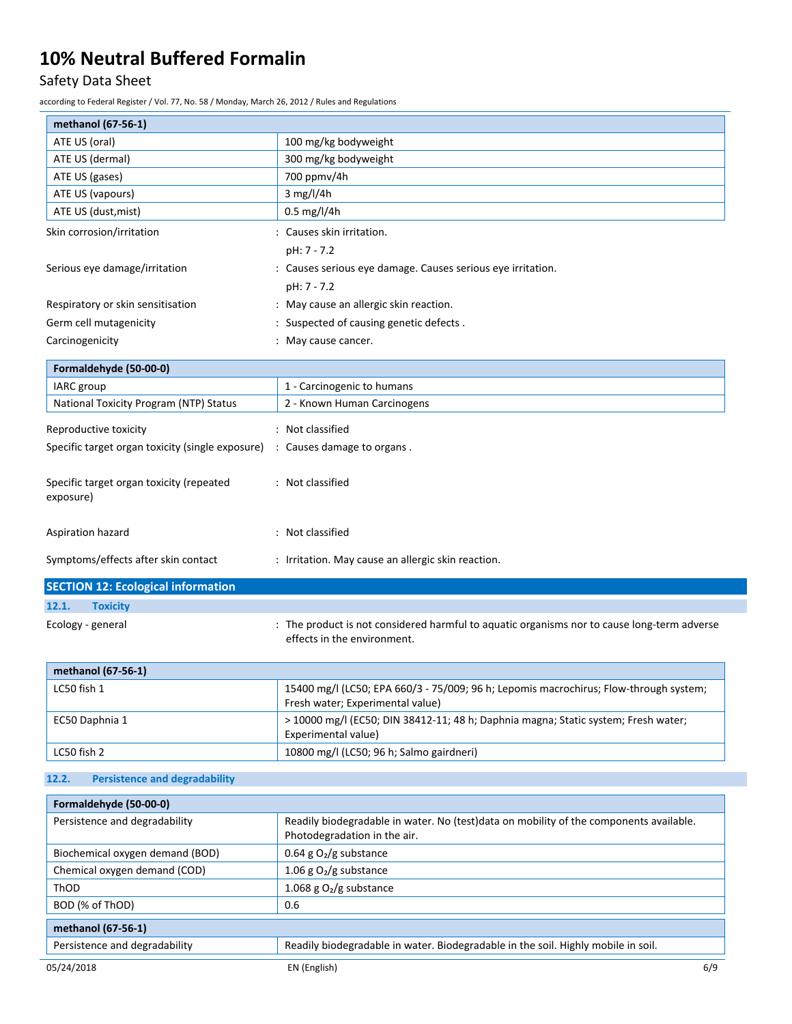# Safety Data Sheet

according to Federal Register / Vol. 77, No. 58 / Monday, March 26, 2012 / Rules and Regulations

| methanol (67-56-1)                                                                                                                              |                                                                                        |  |  |
|-------------------------------------------------------------------------------------------------------------------------------------------------|----------------------------------------------------------------------------------------|--|--|
| ATE US (oral)                                                                                                                                   | 100 mg/kg bodyweight                                                                   |  |  |
| ATE US (dermal)                                                                                                                                 | 300 mg/kg bodyweight                                                                   |  |  |
| ATE US (gases)                                                                                                                                  | 700 ppmv/4h                                                                            |  |  |
| ATE US (vapours)                                                                                                                                | 3 mg/l/4h                                                                              |  |  |
| ATE US (dust, mist)                                                                                                                             | $0.5$ mg/l/4h                                                                          |  |  |
| Skin corrosion/irritation                                                                                                                       | : Causes skin irritation.                                                              |  |  |
|                                                                                                                                                 | pH: 7 - 7.2                                                                            |  |  |
| Serious eye damage/irritation                                                                                                                   | : Causes serious eye damage. Causes serious eye irritation.                            |  |  |
|                                                                                                                                                 | pH: 7 - 7.2                                                                            |  |  |
| Respiratory or skin sensitisation                                                                                                               | : May cause an allergic skin reaction.                                                 |  |  |
| Germ cell mutagenicity                                                                                                                          | : Suspected of causing genetic defects.                                                |  |  |
| Carcinogenicity                                                                                                                                 | : May cause cancer.                                                                    |  |  |
|                                                                                                                                                 |                                                                                        |  |  |
| Formaldehyde (50-00-0)                                                                                                                          |                                                                                        |  |  |
| IARC group                                                                                                                                      | 1 - Carcinogenic to humans                                                             |  |  |
| National Toxicity Program (NTP) Status                                                                                                          | 2 - Known Human Carcinogens                                                            |  |  |
| Reproductive toxicity                                                                                                                           | : Not classified                                                                       |  |  |
| Specific target organ toxicity (single exposure)                                                                                                | : Causes damage to organs.                                                             |  |  |
|                                                                                                                                                 |                                                                                        |  |  |
| Specific target organ toxicity (repeated                                                                                                        | : Not classified                                                                       |  |  |
| exposure)                                                                                                                                       |                                                                                        |  |  |
|                                                                                                                                                 |                                                                                        |  |  |
| Aspiration hazard                                                                                                                               | : Not classified                                                                       |  |  |
|                                                                                                                                                 |                                                                                        |  |  |
| Symptoms/effects after skin contact                                                                                                             | : Irritation. May cause an allergic skin reaction.                                     |  |  |
| <b>SECTION 12: Ecological information</b>                                                                                                       |                                                                                        |  |  |
| 12.1.<br><b>Toxicity</b>                                                                                                                        |                                                                                        |  |  |
|                                                                                                                                                 |                                                                                        |  |  |
| : The product is not considered harmful to aquatic organisms nor to cause long-term adverse<br>Ecology - general<br>effects in the environment. |                                                                                        |  |  |
|                                                                                                                                                 |                                                                                        |  |  |
| methanol (67-56-1)                                                                                                                              |                                                                                        |  |  |
| LC50 fish 1                                                                                                                                     | 15400 mg/l (LC50; EPA 660/3 - 75/009; 96 h; Lepomis macrochirus; Flow-through system;  |  |  |
|                                                                                                                                                 | Fresh water; Experimental value)                                                       |  |  |
| > 10000 mg/l (EC50; DIN 38412-11; 48 h; Daphnia magna; Static system; Fresh water;<br>EC50 Daphnia 1                                            |                                                                                        |  |  |
|                                                                                                                                                 | Experimental value)                                                                    |  |  |
| LC50 fish 2                                                                                                                                     | 10800 mg/l (LC50; 96 h; Salmo gairdneri)                                               |  |  |
| <b>Persistence and degradability</b><br>12.2.                                                                                                   |                                                                                        |  |  |
|                                                                                                                                                 |                                                                                        |  |  |
| Formaldehyde (50-00-0)                                                                                                                          |                                                                                        |  |  |
| Persistence and degradability                                                                                                                   | Readily biodegradable in water. No (test)data on mobility of the components available. |  |  |
|                                                                                                                                                 | Photodegradation in the air.                                                           |  |  |
| Biochemical oxygen demand (BOD)                                                                                                                 | 0.64 g $O2/g$ substance                                                                |  |  |
| Chemical oxygen demand (COD)                                                                                                                    | 1.06 g $O2/g$ substance                                                                |  |  |

| ThOD                          | 1.068 g $O2$ /g substance                                                         |     |
|-------------------------------|-----------------------------------------------------------------------------------|-----|
| BOD (% of ThOD)<br>0.6        |                                                                                   |     |
| methanol (67-56-1)            |                                                                                   |     |
| Persistence and degradability | Readily biodegradable in water. Biodegradable in the soil. Highly mobile in soil. |     |
| 05/24/2018                    | EN (English)                                                                      | 6/9 |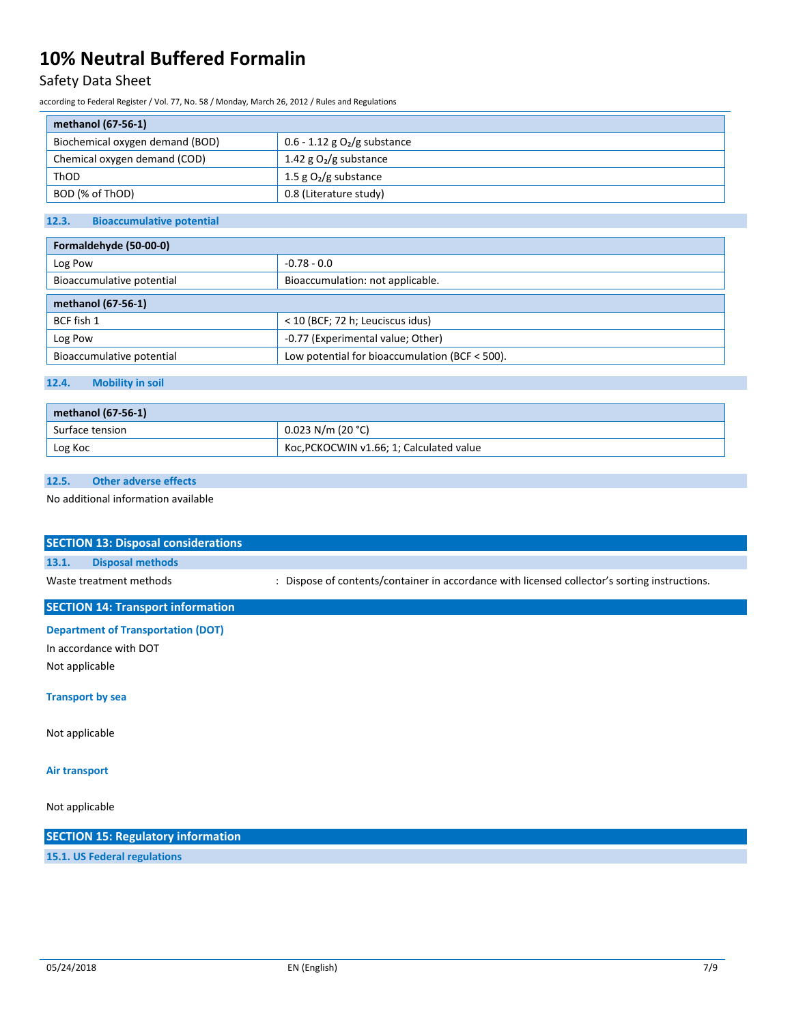# Safety Data Sheet

according to Federal Register / Vol. 77, No. 58 / Monday, March 26, 2012 / Rules and Regulations

| methanol (67-56-1)              |                                 |  |
|---------------------------------|---------------------------------|--|
| Biochemical oxygen demand (BOD) | 0.6 - 1.12 g $O_2$ /g substance |  |
| Chemical oxygen demand (COD)    | 1.42 g $O_2/g$ substance        |  |
| ThOD                            | 1.5 g $O_2/g$ substance         |  |
| BOD (% of ThOD)                 | 0.8 (Literature study)          |  |

### **12.3. Bioaccumulative potential**

| Formaldehyde (50-00-0)    |                                                |  |
|---------------------------|------------------------------------------------|--|
| $-0.78 - 0.0$<br>Log Pow  |                                                |  |
| Bioaccumulative potential | Bioaccumulation: not applicable.               |  |
| methanol (67-56-1)        |                                                |  |
| BCF fish 1                | < 10 (BCF; 72 h; Leuciscus idus)               |  |
| Log Pow                   | -0.77 (Experimental value; Other)              |  |
| Bioaccumulative potential | Low potential for bioaccumulation (BCF < 500). |  |

### **12.4. Mobility in soil**

| methanol (67-56-1) |                                          |
|--------------------|------------------------------------------|
| Surface tension    | $0.023$ N/m (20 °C)                      |
| Log Koc            | Koc, PCKOCWIN v1.66; 1; Calculated value |

### **12.5. Other adverse effects**

No additional information available

| <b>SECTION 13: Disposal considerations</b> |                                                                                               |  |  |  |
|--------------------------------------------|-----------------------------------------------------------------------------------------------|--|--|--|
| <b>Disposal methods</b><br>13.1.           |                                                                                               |  |  |  |
| Waste treatment methods                    | : Dispose of contents/container in accordance with licensed collector's sorting instructions. |  |  |  |
| <b>SECTION 14: Transport information</b>   |                                                                                               |  |  |  |
| <b>Department of Transportation (DOT)</b>  |                                                                                               |  |  |  |
| In accordance with DOT                     |                                                                                               |  |  |  |
| Not applicable                             |                                                                                               |  |  |  |
| <b>Transport by sea</b>                    |                                                                                               |  |  |  |
| Not applicable                             |                                                                                               |  |  |  |
| <b>Air transport</b>                       |                                                                                               |  |  |  |
| Not applicable                             |                                                                                               |  |  |  |
| <b>SECTION 15: Regulatory information</b>  |                                                                                               |  |  |  |
| 15.1. US Federal regulations               |                                                                                               |  |  |  |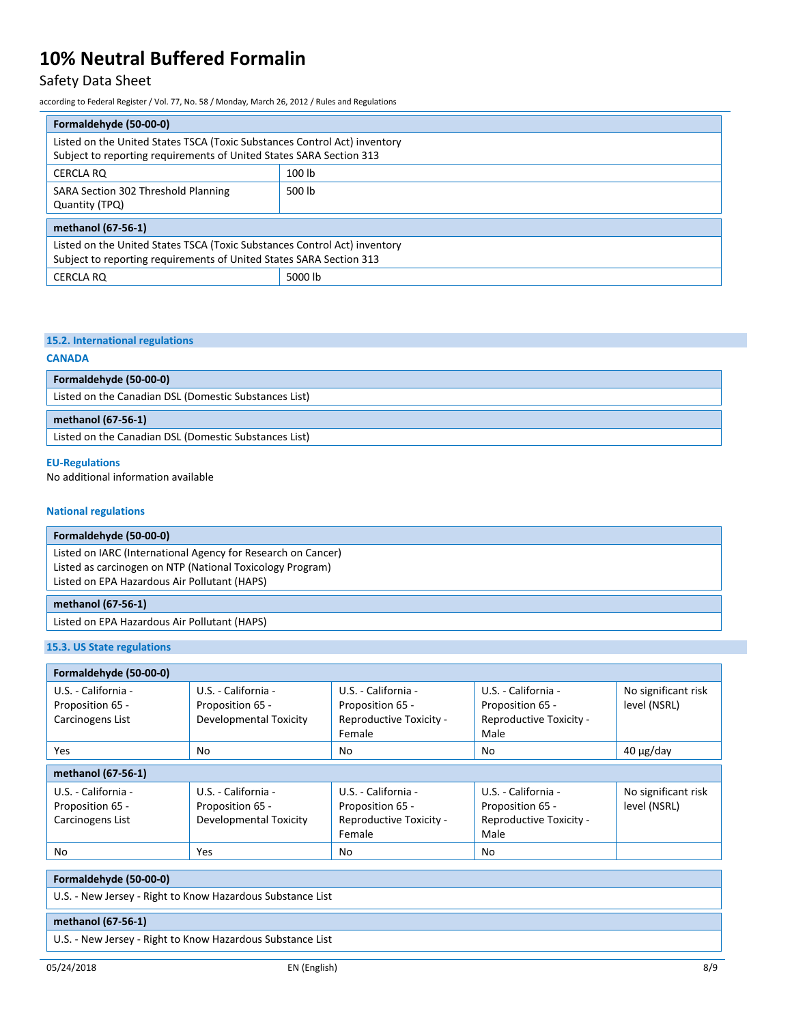## Safety Data Sheet

according to Federal Register / Vol. 77, No. 58 / Monday, March 26, 2012 / Rules and Regulations

| Formaldehyde (50-00-0)                                                                                                                           |        |  |
|--------------------------------------------------------------------------------------------------------------------------------------------------|--------|--|
| Listed on the United States TSCA (Toxic Substances Control Act) inventory<br>Subject to reporting requirements of United States SARA Section 313 |        |  |
| <b>CERCLA RO</b>                                                                                                                                 | 100 lb |  |
| SARA Section 302 Threshold Planning<br>Quantity (TPQ)                                                                                            | 500 lb |  |
| methanol (67-56-1)                                                                                                                               |        |  |
| Listed on the United States TSCA (Toxic Substances Control Act) inventory<br>Subject to reporting requirements of United States SARA Section 313 |        |  |
| 5000 lb<br>CERCLA RQ                                                                                                                             |        |  |

### **15.2. International regulations**

**Formaldehyde (50-00-0)**

# **CANADA**

Listed on the Canadian DSL (Domestic Substances List)

### **methanol (67-56-1)**

Listed on the Canadian DSL (Domestic Substances List)

### **EU-Regulations**

No additional information available

### **National regulations**

| Formaldehyde (50-00-0)                                                                                                                                                    |  |
|---------------------------------------------------------------------------------------------------------------------------------------------------------------------------|--|
| Listed on IARC (International Agency for Research on Cancer)<br>Listed as carcinogen on NTP (National Toxicology Program)<br>Listed on EPA Hazardous Air Pollutant (HAPS) |  |
| methanol (67-56-1)                                                                                                                                                        |  |
| Listed on EPA Hazardous Air Pollutant (HAPS)                                                                                                                              |  |

### **15.3. US State regulations**

| Formaldehyde (50-00-0)                                      |                                                                   |                                                                              |                                                                            |                                     |
|-------------------------------------------------------------|-------------------------------------------------------------------|------------------------------------------------------------------------------|----------------------------------------------------------------------------|-------------------------------------|
| U.S. - California -<br>Proposition 65 -<br>Carcinogens List | U.S. - California -<br>Proposition 65 -<br>Developmental Toxicity | U.S. - California -<br>Proposition 65 -<br>Reproductive Toxicity -<br>Female | U.S. - California -<br>Proposition 65 -<br>Reproductive Toxicity -<br>Male | No significant risk<br>level (NSRL) |
| <b>Yes</b>                                                  | No                                                                | No                                                                           | No                                                                         | $40 \mu g$ /day                     |
| methanol (67-56-1)                                          |                                                                   |                                                                              |                                                                            |                                     |
| U.S. - California -<br>Proposition 65 -<br>Carcinogens List | U.S. - California -<br>Proposition 65 -<br>Developmental Toxicity | U.S. - California -<br>Proposition 65 -<br>Reproductive Toxicity -<br>Female | U.S. - California -<br>Proposition 65 -<br>Reproductive Toxicity -<br>Male | No significant risk<br>level (NSRL) |
| No                                                          | Yes                                                               | No                                                                           | No                                                                         |                                     |

### **Formaldehyde (50-00-0)**

U.S. - New Jersey - Right to Know Hazardous Substance List

### **methanol (67-56-1)**

U.S. - New Jersey - Right to Know Hazardous Substance List